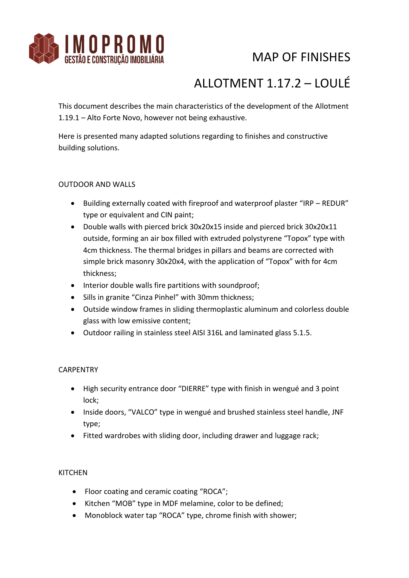

# MAP OF FINISHES

# ALLOTMENT 1.17.2 – LOULÉ

This document describes the main characteristics of the development of the Allotment 1.19.1 – Alto Forte Novo, however not being exhaustive.

Here is presented many adapted solutions regarding to finishes and constructive building solutions.

### OUTDOOR AND WALLS

- Building externally coated with fireproof and waterproof plaster "IRP REDUR" type or equivalent and CIN paint;
- Double walls with pierced brick 30x20x15 inside and pierced brick 30x20x11 outside, forming an air box filled with extruded polystyrene "Topox" type with 4cm thickness. The thermal bridges in pillars and beams are corrected with simple brick masonry 30x20x4, with the application of "Topox" with for 4cm thickness;
- Interior double walls fire partitions with soundproof;
- Sills in granite "Cinza Pinhel" with 30mm thickness;
- Outside window frames in sliding thermoplastic aluminum and colorless double glass with low emissive content;
- Outdoor railing in stainless steel AISI 316L and laminated glass 5.1.5.

### **CARPENTRY**

- High security entrance door "DIERRE" type with finish in wengué and 3 point lock;
- Inside doors, "VALCO" type in wengué and brushed stainless steel handle, JNF type;
- Fitted wardrobes with sliding door, including drawer and luggage rack;

### **KITCHEN**

- Floor coating and ceramic coating "ROCA";
- Kitchen "MOB" type in MDF melamine, color to be defined;
- Monoblock water tap "ROCA" type, chrome finish with shower;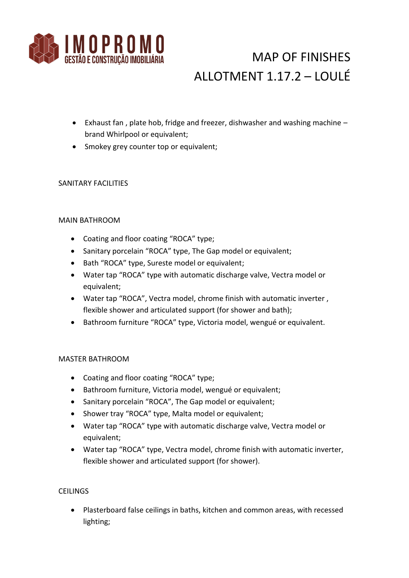

# MAP OF FINISHES ALLOTMENT 1.17.2 – LOULÉ

- Exhaust fan , plate hob, fridge and freezer, dishwasher and washing machine brand Whirlpool or equivalent;
- Smokey grey counter top or equivalent;

### SANITARY FACILITIES

### MAIN BATHROOM

- Coating and floor coating "ROCA" type;
- Sanitary porcelain "ROCA" type, The Gap model or equivalent;
- Bath "ROCA" type, Sureste model or equivalent;
- Water tap "ROCA" type with automatic discharge valve, Vectra model or equivalent;
- Water tap "ROCA", Vectra model, chrome finish with automatic inverter , flexible shower and articulated support (for shower and bath);
- Bathroom furniture "ROCA" type, Victoria model, wengué or equivalent.

### MASTER BATHROOM

- Coating and floor coating "ROCA" type;
- Bathroom furniture, Victoria model, wengué or equivalent;
- Sanitary porcelain "ROCA", The Gap model or equivalent;
- Shower tray "ROCA" type, Malta model or equivalent;
- Water tap "ROCA" type with automatic discharge valve, Vectra model or equivalent;
- Water tap "ROCA" type, Vectra model, chrome finish with automatic inverter, flexible shower and articulated support (for shower).

### **CEILINGS**

 Plasterboard false ceilings in baths, kitchen and common areas, with recessed lighting;